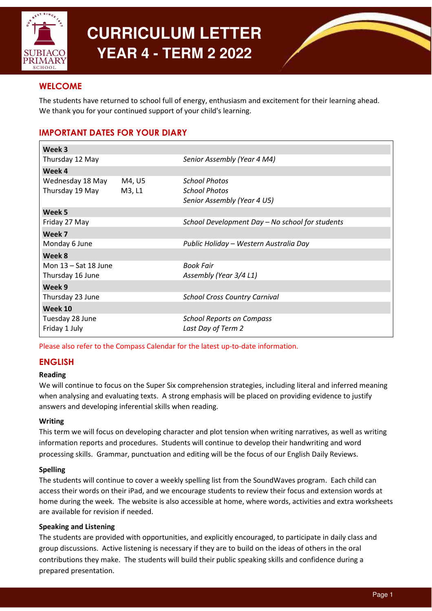

# **CURRICULUM LETTER YEAR 4 - TERM 2 2022**



# **WELCOME**

The students have returned to school full of energy, enthusiasm and excitement for their learning ahead. We thank you for your continued support of your child's learning.

# IMPORTANT DATES FOR YOUR DIARY

| Week 3                 |        |                                                 |
|------------------------|--------|-------------------------------------------------|
| Thursday 12 May        |        | Senior Assembly (Year 4 M4)                     |
| Week 4                 |        |                                                 |
| Wednesday 18 May       | M4, U5 | School Photos                                   |
| Thursday 19 May        | M3, L1 | <b>School Photos</b>                            |
|                        |        | Senior Assembly (Year 4 U5)                     |
| Week 5                 |        |                                                 |
| Friday 27 May          |        | School Development Day - No school for students |
| Week 7                 |        |                                                 |
| Monday 6 June          |        | Public Holiday - Western Australia Day          |
| Week 8                 |        |                                                 |
| Mon $13 - Sat$ 18 June |        | <b>Book Fair</b>                                |
| Thursday 16 June       |        | Assembly (Year 3/4 L1)                          |
| Week 9                 |        |                                                 |
| Thursday 23 June       |        | <b>School Cross Country Carnival</b>            |
| Week 10                |        |                                                 |
| Tuesday 28 June        |        | <b>School Reports on Compass</b>                |
| Friday 1 July          |        | Last Day of Term 2                              |

Please also refer to the Compass Calendar for the latest up-to-date information.

# ENGLISH

## Reading

We will continue to focus on the Super Six comprehension strategies, including literal and inferred meaning when analysing and evaluating texts. A strong emphasis will be placed on providing evidence to justify answers and developing inferential skills when reading.

## Writing

This term we will focus on developing character and plot tension when writing narratives, as well as writing information reports and procedures. Students will continue to develop their handwriting and word processing skills. Grammar, punctuation and editing will be the focus of our English Daily Reviews.

## Spelling

The students will continue to cover a weekly spelling list from the SoundWaves program. Each child can access their words on their iPad, and we encourage students to review their focus and extension words at home during the week. The website is also accessible at home, where words, activities and extra worksheets are available for revision if needed.

## Speaking and Listening

The students are provided with opportunities, and explicitly encouraged, to participate in daily class and group discussions. Active listening is necessary if they are to build on the ideas of others in the oral contributions they make. The students will build their public speaking skills and confidence during a prepared presentation.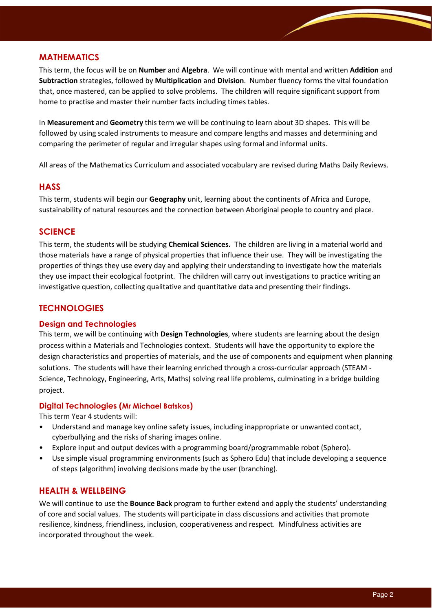# MATHEMATICS

This term, the focus will be on **Number** and **Algebra**. We will continue with mental and written **Addition** and Subtraction strategies, followed by Multiplication and Division. Number fluency forms the vital foundation that, once mastered, can be applied to solve problems. The children will require significant support from home to practise and master their number facts including times tables.

In Measurement and Geometry this term we will be continuing to learn about 3D shapes. This will be followed by using scaled instruments to measure and compare lengths and masses and determining and comparing the perimeter of regular and irregular shapes using formal and informal units.

All areas of the Mathematics Curriculum and associated vocabulary are revised during Maths Daily Reviews.

## **HASS**

This term, students will begin our Geography unit, learning about the continents of Africa and Europe, sustainability of natural resources and the connection between Aboriginal people to country and place.

## **SCIENCE**

This term, the students will be studying Chemical Sciences. The children are living in a material world and those materials have a range of physical properties that influence their use. They will be investigating the properties of things they use every day and applying their understanding to investigate how the materials they use impact their ecological footprint. The children will carry out investigations to practice writing an investigative question, collecting qualitative and quantitative data and presenting their findings.

# **TECHNOLOGIES**

#### Design and Technologies

This term, we will be continuing with Design Technologies, where students are learning about the design process within a Materials and Technologies context. Students will have the opportunity to explore the design characteristics and properties of materials, and the use of components and equipment when planning solutions. The students will have their learning enriched through a cross-curricular approach (STEAM - Science, Technology, Engineering, Arts, Maths) solving real life problems, culminating in a bridge building project.

#### Digital Technologies (Mr Michael Batskos)

This term Year 4 students will:

- Understand and manage key online safety issues, including inappropriate or unwanted contact, cyberbullying and the risks of sharing images online.
- Explore input and output devices with a programming board/programmable robot (Sphero).
- Use simple visual programming environments (such as Sphero Edu) that include developing a sequence of steps (algorithm) involving decisions made by the user (branching).

## HEALTH & WELLBEING

We will continue to use the **Bounce Back** program to further extend and apply the students' understanding of core and social values. The students will participate in class discussions and activities that promote resilience, kindness, friendliness, inclusion, cooperativeness and respect. Mindfulness activities are incorporated throughout the week.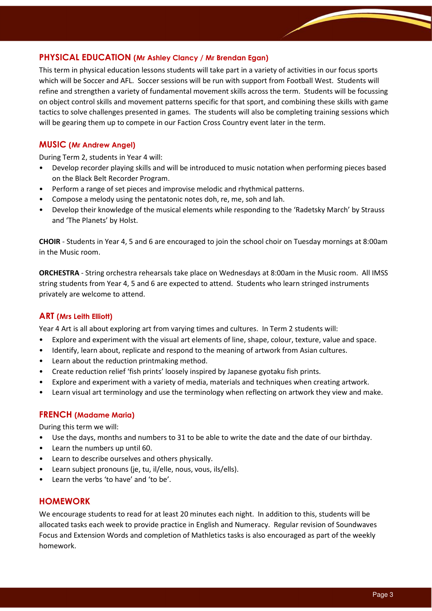# PHYSICAL EDUCATION (Mr Ashley Clancy / Mr Brendan Egan)

This term in physical education lessons students will take part in a variety of activities in our focus sports which will be Soccer and AFL. Soccer sessions will be run with support from Football West. Students will refine and strengthen a variety of fundamental movement skills across the term. Students will be focussing on object control skills and movement patterns specific for that sport, and combining these skills with game tactics to solve challenges presented in games. The students will also be completing training sessions which will be gearing them up to compete in our Faction Cross Country event later in the term.

## MUSIC (Mr Andrew Angel)

During Term 2, students in Year 4 will:

- Develop recorder playing skills and will be introduced to music notation when performing pieces based on the Black Belt Recorder Program.
- Perform a range of set pieces and improvise melodic and rhythmical patterns.
- Compose a melody using the pentatonic notes doh, re, me, soh and lah.
- Develop their knowledge of the musical elements while responding to the 'Radetsky March' by Strauss and 'The Planets' by Holst.

CHOIR - Students in Year 4, 5 and 6 are encouraged to join the school choir on Tuesday mornings at 8:00am in the Music room.

ORCHESTRA - String orchestra rehearsals take place on Wednesdays at 8:00am in the Music room. All IMSS string students from Year 4, 5 and 6 are expected to attend. Students who learn stringed instruments privately are welcome to attend.

## ART (Mrs Leith Elliott)

Year 4 Art is all about exploring art from varying times and cultures. In Term 2 students will:

- Explore and experiment with the visual art elements of line, shape, colour, texture, value and space.
- Identify, learn about, replicate and respond to the meaning of artwork from Asian cultures.
- Learn about the reduction printmaking method.
- Create reduction relief 'fish prints' loosely inspired by Japanese gyotaku fish prints.
- Explore and experiment with a variety of media, materials and techniques when creating artwork.
- Learn visual art terminology and use the terminology when reflecting on artwork they view and make.

#### FRENCH (Madame Maria)

During this term we will:

- Use the days, months and numbers to 31 to be able to write the date and the date of our birthday.
- Learn the numbers up until 60.
- Learn to describe ourselves and others physically.
- Learn subject pronouns (je, tu, il/elle, nous, vous, ils/ells).
- Learn the verbs 'to have' and 'to be'.

## HOMEWORK

We encourage students to read for at least 20 minutes each night. In addition to this, students will be allocated tasks each week to provide practice in English and Numeracy. Regular revision of Soundwaves Focus and Extension Words and completion of Mathletics tasks is also encouraged as part of the weekly homework.